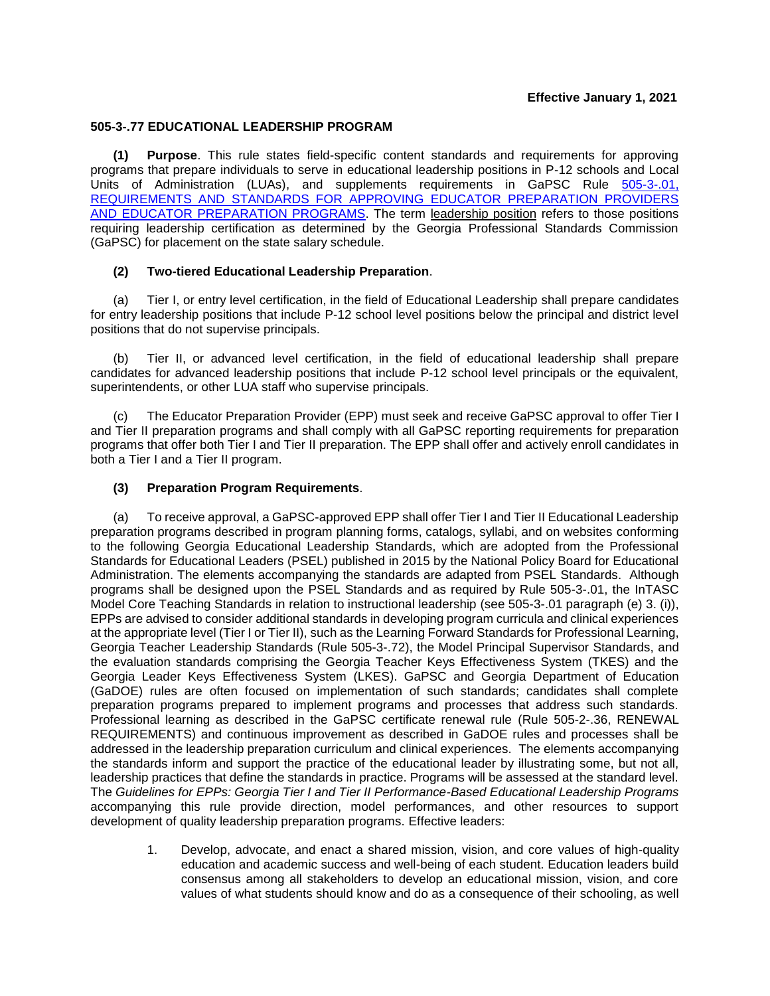# **Effective January 1, 2021**

### **505-3-.77 EDUCATIONAL LEADERSHIP PROGRAM**

**(1) Purpose**. This rule states field-specific content standards and requirements for approving programs that prepare individuals to serve in educational leadership positions in P-12 schools and Local Units of Administration (LUAs), and supplements requirements in GaPSC Rule [505-3-.01,](https://www.gapsc.com/Rules/Current/EducatorPreparation/505-3-.01.pdf?dt=%3C%25#Eval()  REQUIREMENTS AND [STANDARDS FOR APPROVING EDUCATOR PREPARATION PROVIDERS](https://www.gapsc.com/Rules/Current/EducatorPreparation/505-3-.01.pdf?dt=%3C%25#Eval()  AND EDUCATOR [PREPARATION PROGRAMS.](https://www.gapsc.com/Rules/Current/EducatorPreparation/505-3-.01.pdf?dt=%3C%25#Eval() The term leadership position refers to those positions requiring leadership certification as determined by the Georgia Professional Standards Commission (GaPSC) for placement on the state salary schedule.

# **(2) Two-tiered Educational Leadership Preparation**.

(a) Tier I, or entry level certification, in the field of Educational Leadership shall prepare candidates for entry leadership positions that include P-12 school level positions below the principal and district level positions that do not supervise principals.

(b) Tier II, or advanced level certification, in the field of educational leadership shall prepare candidates for advanced leadership positions that include P-12 school level principals or the equivalent, superintendents, or other LUA staff who supervise principals.

The Educator Preparation Provider (EPP) must seek and receive GaPSC approval to offer Tier I and Tier II preparation programs and shall comply with all GaPSC reporting requirements for preparation programs that offer both Tier I and Tier II preparation. The EPP shall offer and actively enroll candidates in both a Tier I and a Tier II program.

# **(3) Preparation Program Requirements**.

(a) To receive approval, a GaPSC-approved EPP shall offer Tier I and Tier II Educational Leadership preparation programs described in program planning forms, catalogs, syllabi, and on websites conforming to the following Georgia Educational Leadership Standards, which are adopted from the Professional Standards for Educational Leaders (PSEL) published in 2015 by the National Policy Board for Educational Administration. The elements accompanying the standards are adapted from PSEL Standards. Although programs shall be designed upon the PSEL Standards and as required by Rule 505-3-.01, the InTASC Model Core Teaching Standards in relation to instructional leadership (see 505-3-.01 paragraph (e) 3. (i)), EPPs are advised to consider additional standards in developing program curricula and clinical experiences at the appropriate level (Tier I or Tier II), such as the Learning Forward Standards for Professional Learning, Georgia Teacher Leadership Standards (Rule 505-3-.72), the Model Principal Supervisor Standards, and the evaluation standards comprising the Georgia Teacher Keys Effectiveness System (TKES) and the Georgia Leader Keys Effectiveness System (LKES). GaPSC and Georgia Department of Education (GaDOE) rules are often focused on implementation of such standards; candidates shall complete preparation programs prepared to implement programs and processes that address such standards. Professional learning as described in the GaPSC certificate renewal rule (Rule 505-2-.36, RENEWAL REQUIREMENTS) and continuous improvement as described in GaDOE rules and processes shall be addressed in the leadership preparation curriculum and clinical experiences. The elements accompanying the standards inform and support the practice of the educational leader by illustrating some, but not all, leadership practices that define the standards in practice. Programs will be assessed at the standard level. The *Guidelines for EPPs: Georgia Tier I and Tier II Performance-Based Educational Leadership Programs* accompanying this rule provide direction, model performances, and other resources to support development of quality leadership preparation programs. Effective leaders:

1. Develop, advocate, and enact a shared mission, vision, and core values of high-quality education and academic success and well-being of each student. Education leaders build consensus among all stakeholders to develop an educational mission, vision, and core values of what students should know and do as a consequence of their schooling, as well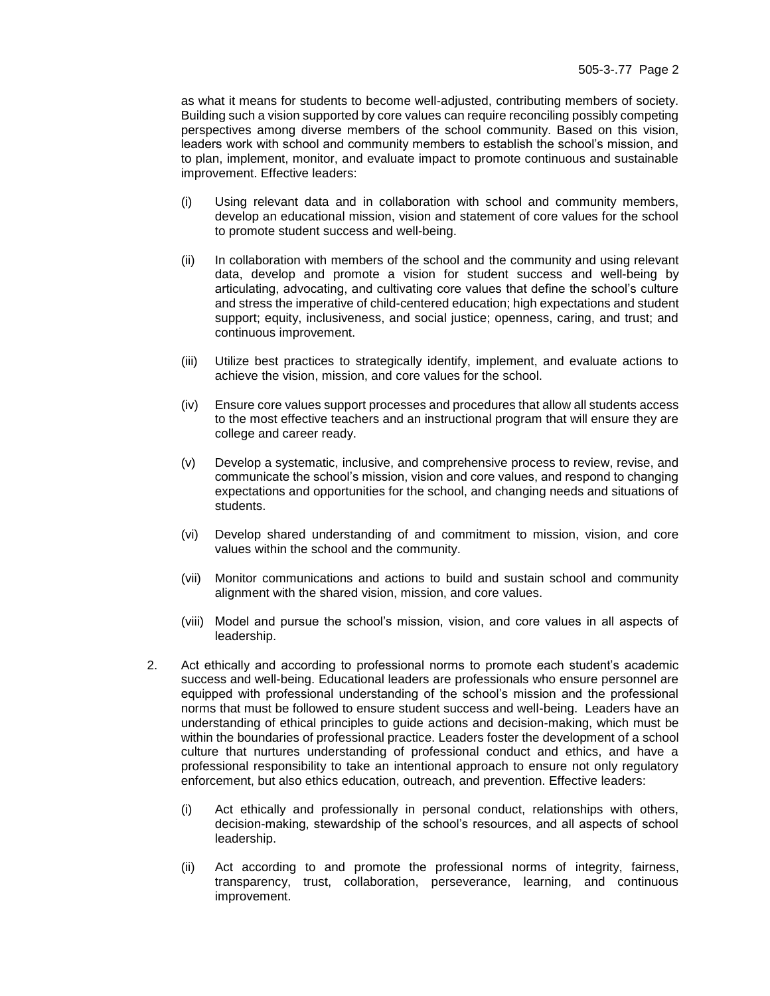as what it means for students to become well-adjusted, contributing members of society. Building such a vision supported by core values can require reconciling possibly competing perspectives among diverse members of the school community. Based on this vision, leaders work with school and community members to establish the school's mission, and to plan, implement, monitor, and evaluate impact to promote continuous and sustainable improvement. Effective leaders:

- (i) Using relevant data and in collaboration with school and community members, develop an educational mission, vision and statement of core values for the school to promote student success and well-being.
- (ii) In collaboration with members of the school and the community and using relevant data, develop and promote a vision for student success and well-being by articulating, advocating, and cultivating core values that define the school's culture and stress the imperative of child-centered education; high expectations and student support; equity, inclusiveness, and social justice; openness, caring, and trust; and continuous improvement.
- (iii) Utilize best practices to strategically identify, implement, and evaluate actions to achieve the vision, mission, and core values for the school.
- (iv) Ensure core values support processes and procedures that allow all students access to the most effective teachers and an instructional program that will ensure they are college and career ready.
- (v) Develop a systematic, inclusive, and comprehensive process to review, revise, and communicate the school's mission, vision and core values, and respond to changing expectations and opportunities for the school, and changing needs and situations of students.
- (vi) Develop shared understanding of and commitment to mission, vision, and core values within the school and the community.
- (vii) Monitor communications and actions to build and sustain school and community alignment with the shared vision, mission, and core values.
- (viii) Model and pursue the school's mission, vision, and core values in all aspects of leadership.
- 2. Act ethically and according to professional norms to promote each student's academic success and well-being. Educational leaders are professionals who ensure personnel are equipped with professional understanding of the school's mission and the professional norms that must be followed to ensure student success and well-being. Leaders have an understanding of ethical principles to guide actions and decision-making, which must be within the boundaries of professional practice. Leaders foster the development of a school culture that nurtures understanding of professional conduct and ethics, and have a professional responsibility to take an intentional approach to ensure not only regulatory enforcement, but also ethics education, outreach, and prevention. Effective leaders:
	- (i) Act ethically and professionally in personal conduct, relationships with others, decision-making, stewardship of the school's resources, and all aspects of school leadership.
	- (ii) Act according to and promote the professional norms of integrity, fairness, transparency, trust, collaboration, perseverance, learning, and continuous improvement.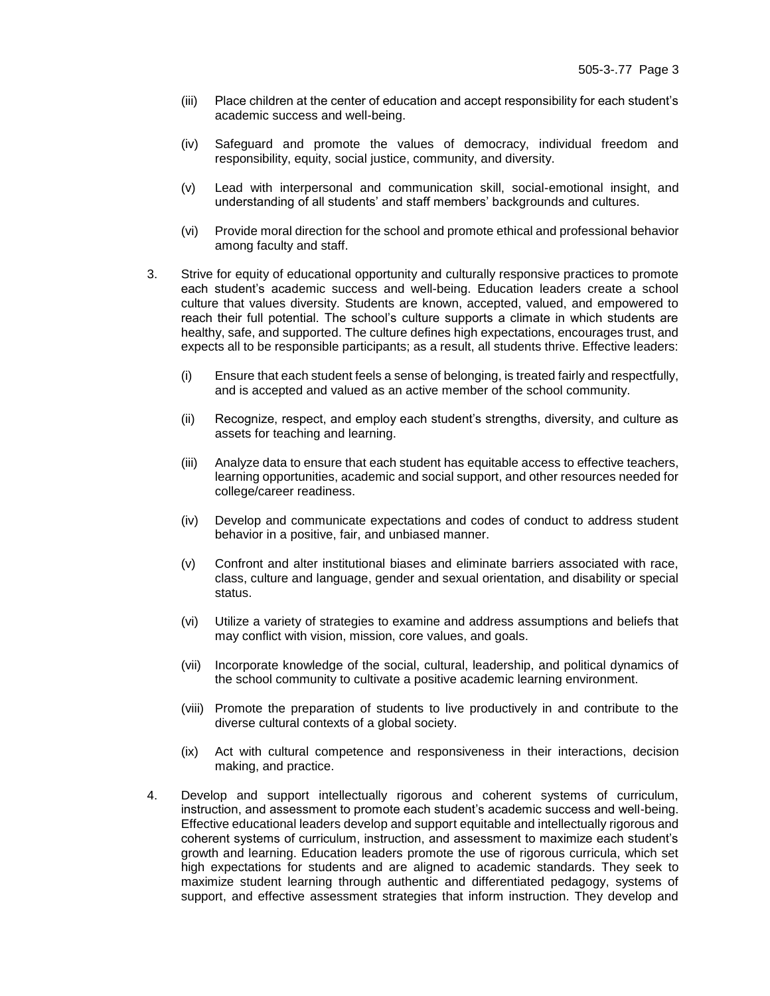- (iii) Place children at the center of education and accept responsibility for each student's academic success and well-being.
- (iv) Safeguard and promote the values of democracy, individual freedom and responsibility, equity, social justice, community, and diversity.
- (v) Lead with interpersonal and communication skill, social-emotional insight, and understanding of all students' and staff members' backgrounds and cultures.
- (vi) Provide moral direction for the school and promote ethical and professional behavior among faculty and staff.
- 3. Strive for equity of educational opportunity and culturally responsive practices to promote each student's academic success and well-being. Education leaders create a school culture that values diversity. Students are known, accepted, valued, and empowered to reach their full potential. The school's culture supports a climate in which students are healthy, safe, and supported. The culture defines high expectations, encourages trust, and expects all to be responsible participants; as a result, all students thrive. Effective leaders:
	- (i) Ensure that each student feels a sense of belonging, is treated fairly and respectfully, and is accepted and valued as an active member of the school community.
	- (ii) Recognize, respect, and employ each student's strengths, diversity, and culture as assets for teaching and learning.
	- (iii) Analyze data to ensure that each student has equitable access to effective teachers, learning opportunities, academic and social support, and other resources needed for college/career readiness.
	- (iv) Develop and communicate expectations and codes of conduct to address student behavior in a positive, fair, and unbiased manner.
	- (v) Confront and alter institutional biases and eliminate barriers associated with race, class, culture and language, gender and sexual orientation, and disability or special status.
	- (vi) Utilize a variety of strategies to examine and address assumptions and beliefs that may conflict with vision, mission, core values, and goals.
	- (vii) Incorporate knowledge of the social, cultural, leadership, and political dynamics of the school community to cultivate a positive academic learning environment.
	- (viii) Promote the preparation of students to live productively in and contribute to the diverse cultural contexts of a global society.
	- (ix) Act with cultural competence and responsiveness in their interactions, decision making, and practice.
- 4. Develop and support intellectually rigorous and coherent systems of curriculum, instruction, and assessment to promote each student's academic success and well-being. Effective educational leaders develop and support equitable and intellectually rigorous and coherent systems of curriculum, instruction, and assessment to maximize each student's growth and learning. Education leaders promote the use of rigorous curricula, which set high expectations for students and are aligned to academic standards. They seek to maximize student learning through authentic and differentiated pedagogy, systems of support, and effective assessment strategies that inform instruction. They develop and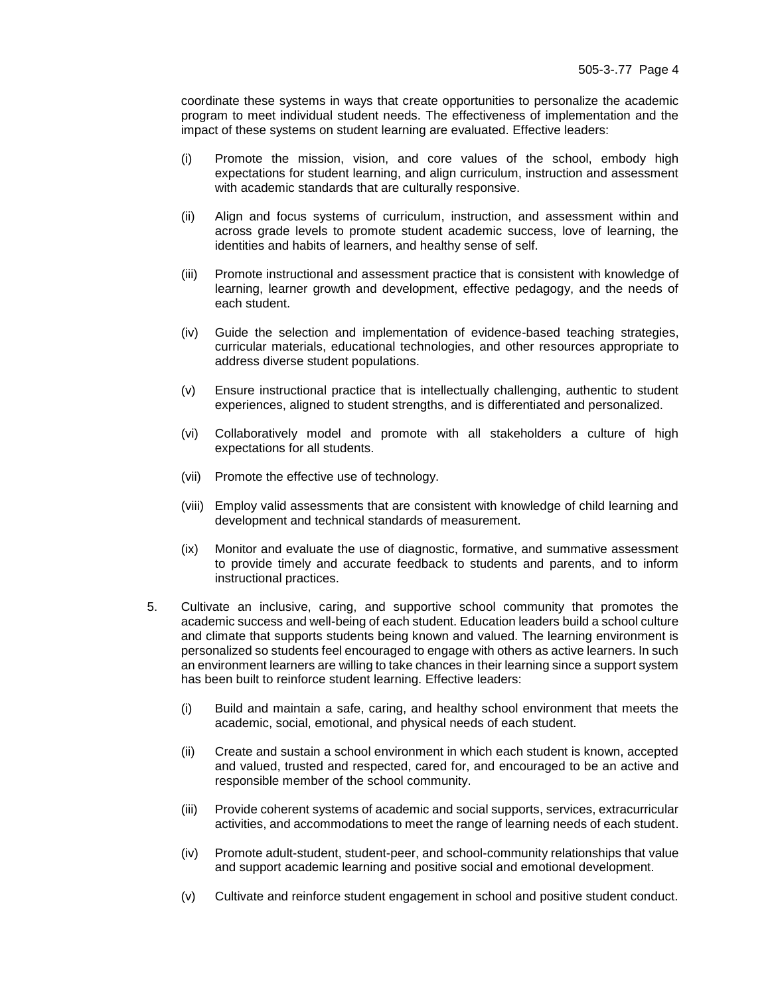coordinate these systems in ways that create opportunities to personalize the academic program to meet individual student needs. The effectiveness of implementation and the impact of these systems on student learning are evaluated. Effective leaders:

- (i) Promote the mission, vision, and core values of the school, embody high expectations for student learning, and align curriculum, instruction and assessment with academic standards that are culturally responsive.
- (ii) Align and focus systems of curriculum, instruction, and assessment within and across grade levels to promote student academic success, love of learning, the identities and habits of learners, and healthy sense of self.
- (iii) Promote instructional and assessment practice that is consistent with knowledge of learning, learner growth and development, effective pedagogy, and the needs of each student.
- (iv) Guide the selection and implementation of evidence-based teaching strategies, curricular materials, educational technologies, and other resources appropriate to address diverse student populations.
- (v) Ensure instructional practice that is intellectually challenging, authentic to student experiences, aligned to student strengths, and is differentiated and personalized.
- (vi) Collaboratively model and promote with all stakeholders a culture of high expectations for all students.
- (vii) Promote the effective use of technology.
- (viii) Employ valid assessments that are consistent with knowledge of child learning and development and technical standards of measurement.
- (ix) Monitor and evaluate the use of diagnostic, formative, and summative assessment to provide timely and accurate feedback to students and parents, and to inform instructional practices.
- 5. Cultivate an inclusive, caring, and supportive school community that promotes the academic success and well-being of each student. Education leaders build a school culture and climate that supports students being known and valued. The learning environment is personalized so students feel encouraged to engage with others as active learners. In such an environment learners are willing to take chances in their learning since a support system has been built to reinforce student learning. Effective leaders:
	- (i) Build and maintain a safe, caring, and healthy school environment that meets the academic, social, emotional, and physical needs of each student.
	- (ii) Create and sustain a school environment in which each student is known, accepted and valued, trusted and respected, cared for, and encouraged to be an active and responsible member of the school community.
	- (iii) Provide coherent systems of academic and social supports, services, extracurricular activities, and accommodations to meet the range of learning needs of each student.
	- (iv) Promote adult-student, student-peer, and school-community relationships that value and support academic learning and positive social and emotional development.
	- (v) Cultivate and reinforce student engagement in school and positive student conduct.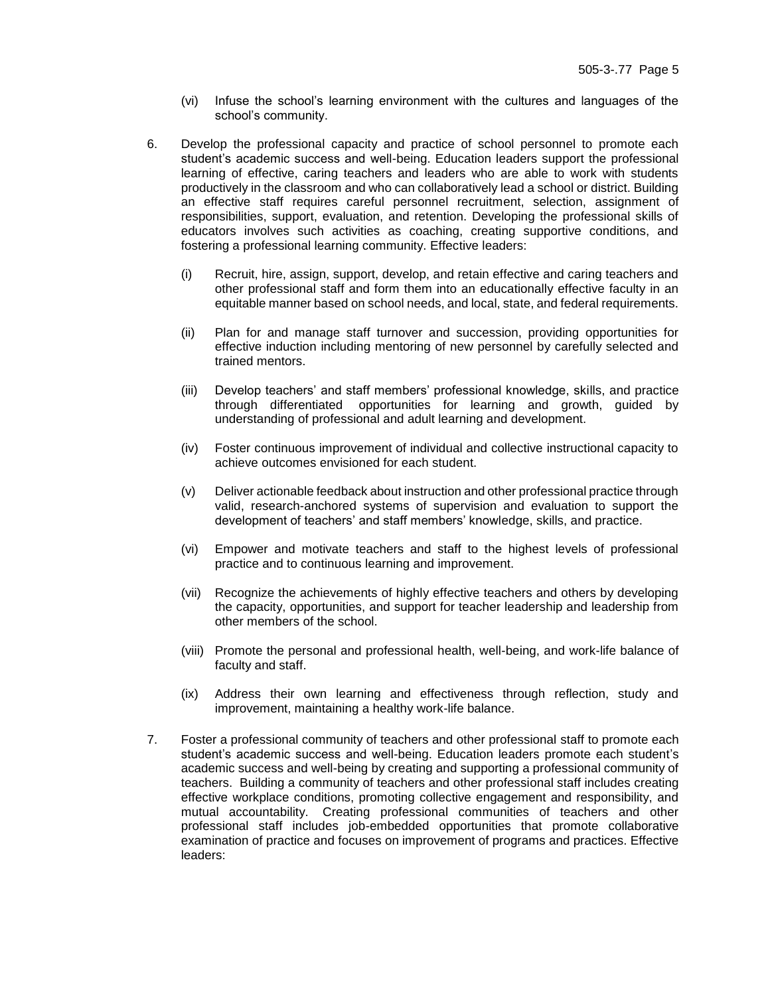- (vi) Infuse the school's learning environment with the cultures and languages of the school's community.
- 6. Develop the professional capacity and practice of school personnel to promote each student's academic success and well-being. Education leaders support the professional learning of effective, caring teachers and leaders who are able to work with students productively in the classroom and who can collaboratively lead a school or district. Building an effective staff requires careful personnel recruitment, selection, assignment of responsibilities, support, evaluation, and retention. Developing the professional skills of educators involves such activities as coaching, creating supportive conditions, and fostering a professional learning community. Effective leaders:
	- (i) Recruit, hire, assign, support, develop, and retain effective and caring teachers and other professional staff and form them into an educationally effective faculty in an equitable manner based on school needs, and local, state, and federal requirements.
	- (ii) Plan for and manage staff turnover and succession, providing opportunities for effective induction including mentoring of new personnel by carefully selected and trained mentors.
	- (iii) Develop teachers' and staff members' professional knowledge, skills, and practice through differentiated opportunities for learning and growth, guided by understanding of professional and adult learning and development.
	- (iv) Foster continuous improvement of individual and collective instructional capacity to achieve outcomes envisioned for each student.
	- (v) Deliver actionable feedback about instruction and other professional practice through valid, research-anchored systems of supervision and evaluation to support the development of teachers' and staff members' knowledge, skills, and practice.
	- (vi) Empower and motivate teachers and staff to the highest levels of professional practice and to continuous learning and improvement.
	- (vii) Recognize the achievements of highly effective teachers and others by developing the capacity, opportunities, and support for teacher leadership and leadership from other members of the school.
	- (viii) Promote the personal and professional health, well-being, and work-life balance of faculty and staff.
	- (ix) Address their own learning and effectiveness through reflection, study and improvement, maintaining a healthy work-life balance.
- 7. Foster a professional community of teachers and other professional staff to promote each student's academic success and well-being. Education leaders promote each student's academic success and well-being by creating and supporting a professional community of teachers. Building a community of teachers and other professional staff includes creating effective workplace conditions, promoting collective engagement and responsibility, and mutual accountability. Creating professional communities of teachers and other professional staff includes job-embedded opportunities that promote collaborative examination of practice and focuses on improvement of programs and practices. Effective leaders: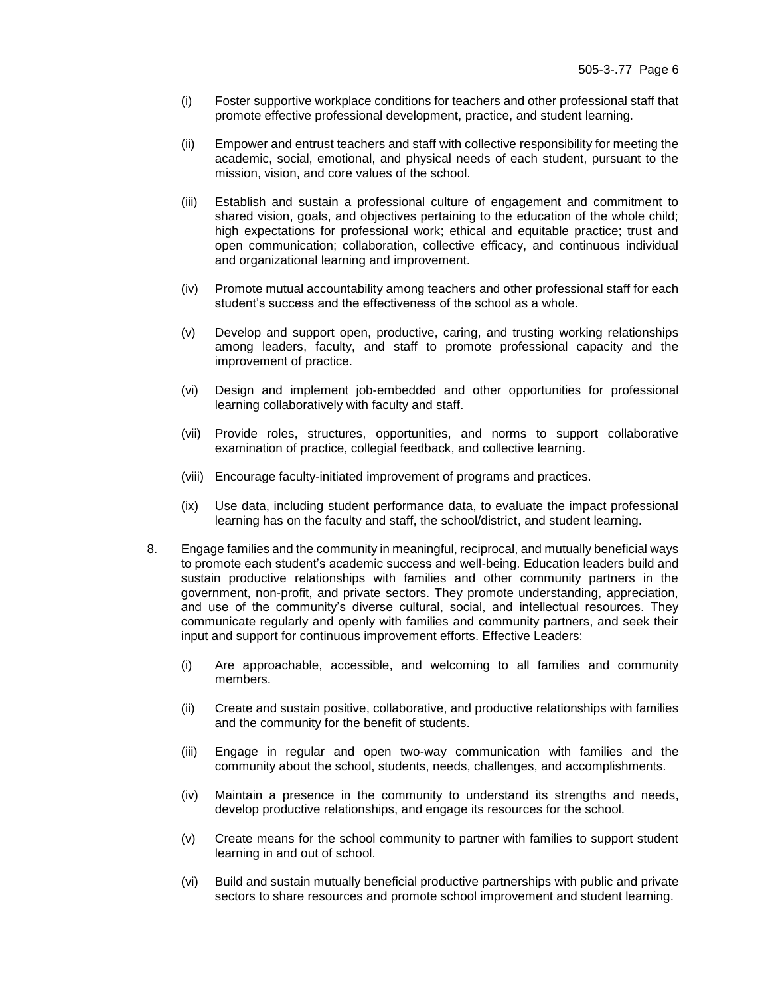- (i) Foster supportive workplace conditions for teachers and other professional staff that promote effective professional development, practice, and student learning.
- (ii) Empower and entrust teachers and staff with collective responsibility for meeting the academic, social, emotional, and physical needs of each student, pursuant to the mission, vision, and core values of the school.
- (iii) Establish and sustain a professional culture of engagement and commitment to shared vision, goals, and objectives pertaining to the education of the whole child; high expectations for professional work; ethical and equitable practice; trust and open communication; collaboration, collective efficacy, and continuous individual and organizational learning and improvement.
- (iv) Promote mutual accountability among teachers and other professional staff for each student's success and the effectiveness of the school as a whole.
- (v) Develop and support open, productive, caring, and trusting working relationships among leaders, faculty, and staff to promote professional capacity and the improvement of practice.
- (vi) Design and implement job-embedded and other opportunities for professional learning collaboratively with faculty and staff.
- (vii) Provide roles, structures, opportunities, and norms to support collaborative examination of practice, collegial feedback, and collective learning.
- (viii) Encourage faculty-initiated improvement of programs and practices.
- (ix) Use data, including student performance data, to evaluate the impact professional learning has on the faculty and staff, the school/district, and student learning.
- 8. Engage families and the community in meaningful, reciprocal, and mutually beneficial ways to promote each student's academic success and well-being. Education leaders build and sustain productive relationships with families and other community partners in the government, non-profit, and private sectors. They promote understanding, appreciation, and use of the community's diverse cultural, social, and intellectual resources. They communicate regularly and openly with families and community partners, and seek their input and support for continuous improvement efforts. Effective Leaders:
	- (i) Are approachable, accessible, and welcoming to all families and community members.
	- (ii) Create and sustain positive, collaborative, and productive relationships with families and the community for the benefit of students.
	- (iii) Engage in regular and open two-way communication with families and the community about the school, students, needs, challenges, and accomplishments.
	- (iv) Maintain a presence in the community to understand its strengths and needs, develop productive relationships, and engage its resources for the school.
	- (v) Create means for the school community to partner with families to support student learning in and out of school.
	- (vi) Build and sustain mutually beneficial productive partnerships with public and private sectors to share resources and promote school improvement and student learning.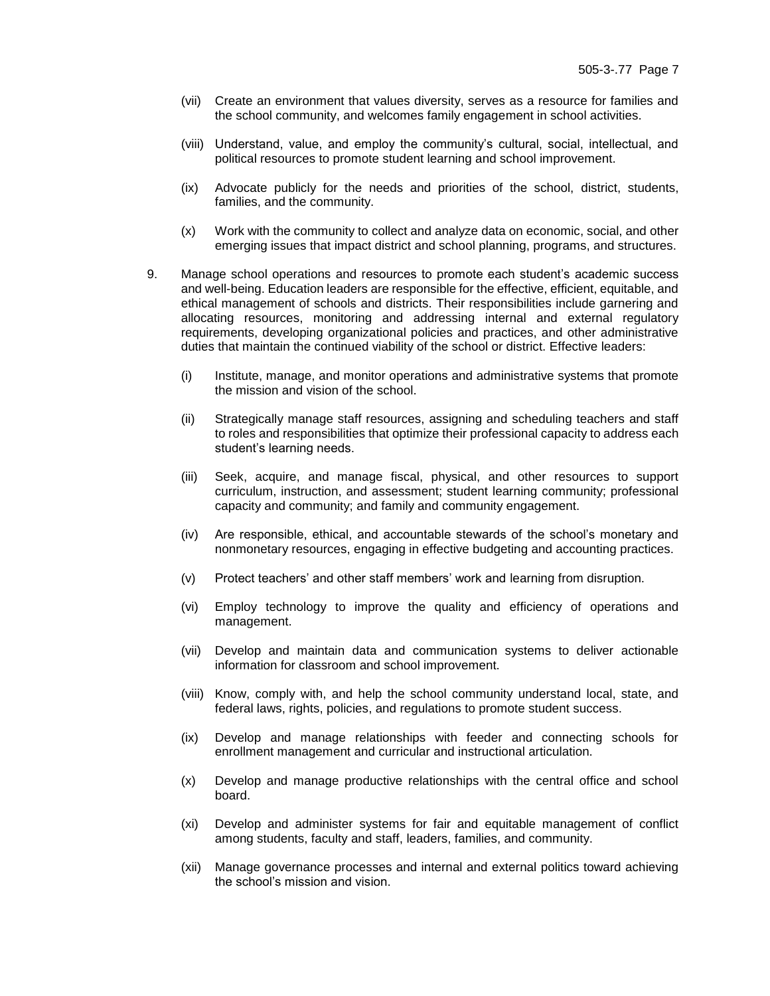- (vii) Create an environment that values diversity, serves as a resource for families and the school community, and welcomes family engagement in school activities.
- (viii) Understand, value, and employ the community's cultural, social, intellectual, and political resources to promote student learning and school improvement.
- (ix) Advocate publicly for the needs and priorities of the school, district, students, families, and the community.
- (x) Work with the community to collect and analyze data on economic, social, and other emerging issues that impact district and school planning, programs, and structures.
- 9. Manage school operations and resources to promote each student's academic success and well-being. Education leaders are responsible for the effective, efficient, equitable, and ethical management of schools and districts. Their responsibilities include garnering and allocating resources, monitoring and addressing internal and external regulatory requirements, developing organizational policies and practices, and other administrative duties that maintain the continued viability of the school or district. Effective leaders:
	- (i) Institute, manage, and monitor operations and administrative systems that promote the mission and vision of the school.
	- (ii) Strategically manage staff resources, assigning and scheduling teachers and staff to roles and responsibilities that optimize their professional capacity to address each student's learning needs.
	- (iii) Seek, acquire, and manage fiscal, physical, and other resources to support curriculum, instruction, and assessment; student learning community; professional capacity and community; and family and community engagement.
	- (iv) Are responsible, ethical, and accountable stewards of the school's monetary and nonmonetary resources, engaging in effective budgeting and accounting practices.
	- (v) Protect teachers' and other staff members' work and learning from disruption.
	- (vi) Employ technology to improve the quality and efficiency of operations and management.
	- (vii) Develop and maintain data and communication systems to deliver actionable information for classroom and school improvement.
	- (viii) Know, comply with, and help the school community understand local, state, and federal laws, rights, policies, and regulations to promote student success.
	- (ix) Develop and manage relationships with feeder and connecting schools for enrollment management and curricular and instructional articulation.
	- (x) Develop and manage productive relationships with the central office and school board.
	- (xi) Develop and administer systems for fair and equitable management of conflict among students, faculty and staff, leaders, families, and community.
	- (xii) Manage governance processes and internal and external politics toward achieving the school's mission and vision.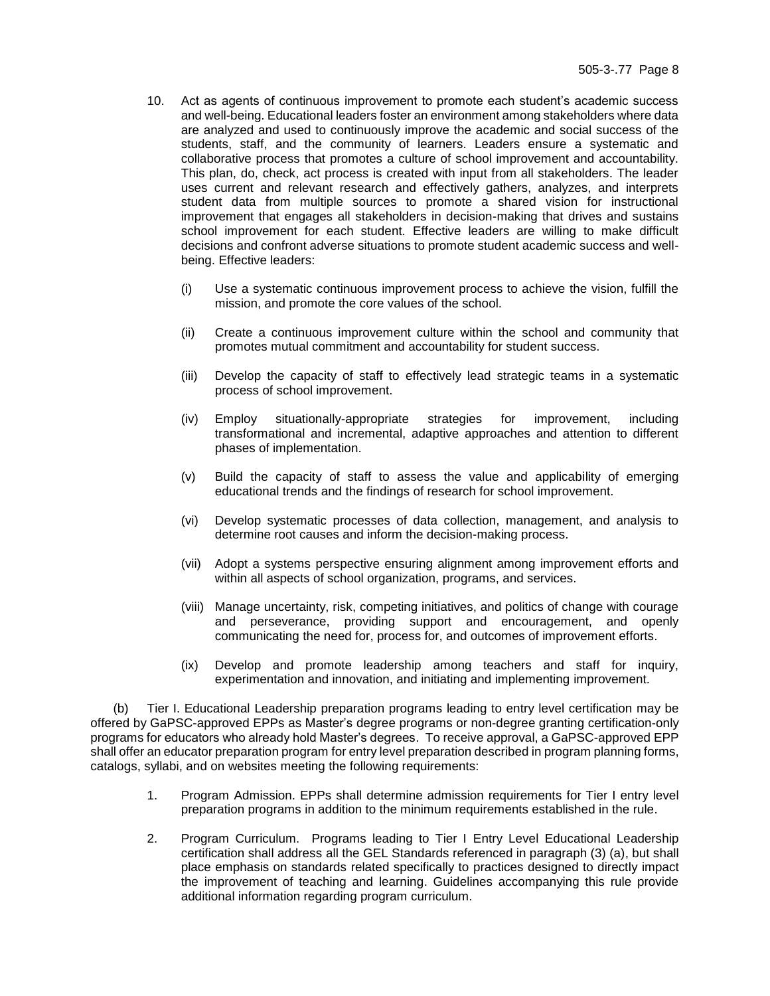- 10. Act as agents of continuous improvement to promote each student's academic success and well-being. Educational leaders foster an environment among stakeholders where data are analyzed and used to continuously improve the academic and social success of the students, staff, and the community of learners. Leaders ensure a systematic and collaborative process that promotes a culture of school improvement and accountability. This plan, do, check, act process is created with input from all stakeholders. The leader uses current and relevant research and effectively gathers, analyzes, and interprets student data from multiple sources to promote a shared vision for instructional improvement that engages all stakeholders in decision-making that drives and sustains school improvement for each student. Effective leaders are willing to make difficult decisions and confront adverse situations to promote student academic success and wellbeing. Effective leaders:
	- (i) Use a systematic continuous improvement process to achieve the vision, fulfill the mission, and promote the core values of the school.
	- (ii) Create a continuous improvement culture within the school and community that promotes mutual commitment and accountability for student success.
	- (iii) Develop the capacity of staff to effectively lead strategic teams in a systematic process of school improvement.
	- (iv) Employ situationally-appropriate strategies for improvement, including transformational and incremental, adaptive approaches and attention to different phases of implementation.
	- (v) Build the capacity of staff to assess the value and applicability of emerging educational trends and the findings of research for school improvement.
	- (vi) Develop systematic processes of data collection, management, and analysis to determine root causes and inform the decision-making process.
	- (vii) Adopt a systems perspective ensuring alignment among improvement efforts and within all aspects of school organization, programs, and services.
	- (viii) Manage uncertainty, risk, competing initiatives, and politics of change with courage and perseverance, providing support and encouragement, and openly communicating the need for, process for, and outcomes of improvement efforts.
	- (ix) Develop and promote leadership among teachers and staff for inquiry, experimentation and innovation, and initiating and implementing improvement.

(b) Tier I. Educational Leadership preparation programs leading to entry level certification may be offered by GaPSC-approved EPPs as Master's degree programs or non-degree granting certification-only programs for educators who already hold Master's degrees. To receive approval, a GaPSC-approved EPP shall offer an educator preparation program for entry level preparation described in program planning forms, catalogs, syllabi, and on websites meeting the following requirements:

- 1. Program Admission. EPPs shall determine admission requirements for Tier I entry level preparation programs in addition to the minimum requirements established in the rule.
- 2. Program Curriculum. Programs leading to Tier I Entry Level Educational Leadership certification shall address all the GEL Standards referenced in paragraph (3) (a), but shall place emphasis on standards related specifically to practices designed to directly impact the improvement of teaching and learning. Guidelines accompanying this rule provide additional information regarding program curriculum.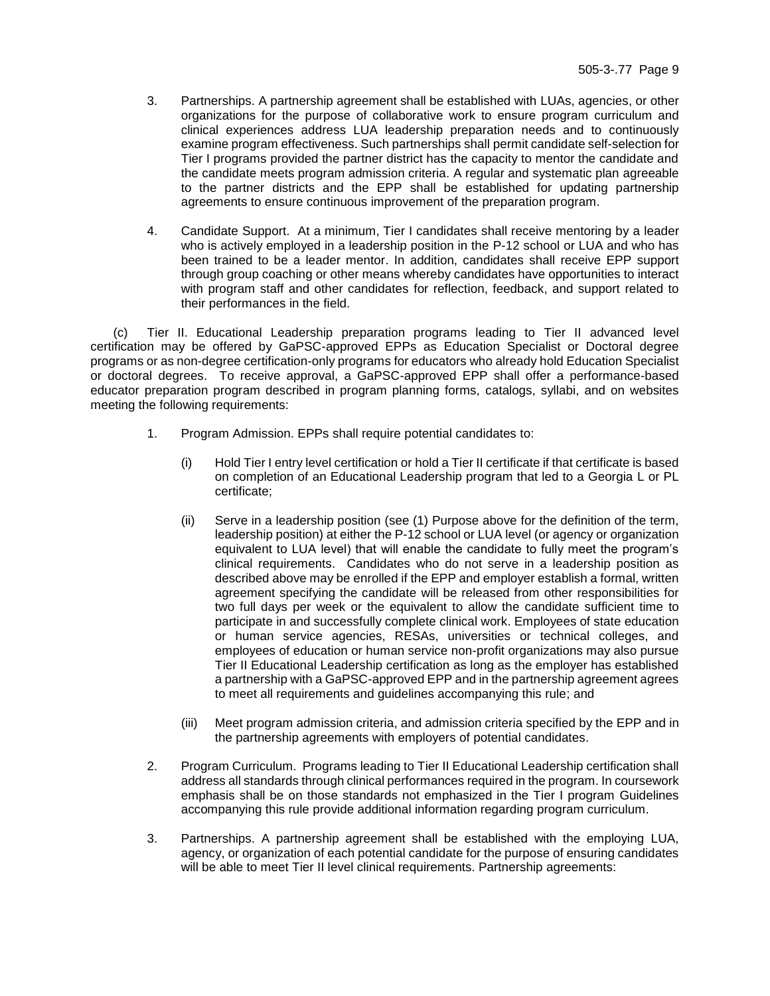- 3. Partnerships. A partnership agreement shall be established with LUAs, agencies, or other organizations for the purpose of collaborative work to ensure program curriculum and clinical experiences address LUA leadership preparation needs and to continuously examine program effectiveness. Such partnerships shall permit candidate self-selection for Tier I programs provided the partner district has the capacity to mentor the candidate and the candidate meets program admission criteria. A regular and systematic plan agreeable to the partner districts and the EPP shall be established for updating partnership agreements to ensure continuous improvement of the preparation program.
- 4. Candidate Support. At a minimum, Tier I candidates shall receive mentoring by a leader who is actively employed in a leadership position in the P-12 school or LUA and who has been trained to be a leader mentor. In addition, candidates shall receive EPP support through group coaching or other means whereby candidates have opportunities to interact with program staff and other candidates for reflection, feedback, and support related to their performances in the field.

(c) Tier II. Educational Leadership preparation programs leading to Tier II advanced level certification may be offered by GaPSC-approved EPPs as Education Specialist or Doctoral degree programs or as non-degree certification-only programs for educators who already hold Education Specialist or doctoral degrees. To receive approval, a GaPSC-approved EPP shall offer a performance-based educator preparation program described in program planning forms, catalogs, syllabi, and on websites meeting the following requirements:

- 1. Program Admission. EPPs shall require potential candidates to:
	- (i) Hold Tier I entry level certification or hold a Tier II certificate if that certificate is based on completion of an Educational Leadership program that led to a Georgia L or PL certificate;
	- (ii) Serve in a leadership position (see (1) Purpose above for the definition of the term, leadership position) at either the P-12 school or LUA level (or agency or organization equivalent to LUA level) that will enable the candidate to fully meet the program's clinical requirements. Candidates who do not serve in a leadership position as described above may be enrolled if the EPP and employer establish a formal, written agreement specifying the candidate will be released from other responsibilities for two full days per week or the equivalent to allow the candidate sufficient time to participate in and successfully complete clinical work. Employees of state education or human service agencies, RESAs, universities or technical colleges, and employees of education or human service non-profit organizations may also pursue Tier II Educational Leadership certification as long as the employer has established a partnership with a GaPSC-approved EPP and in the partnership agreement agrees to meet all requirements and guidelines accompanying this rule; and
	- (iii) Meet program admission criteria, and admission criteria specified by the EPP and in the partnership agreements with employers of potential candidates.
- 2. Program Curriculum. Programs leading to Tier II Educational Leadership certification shall address all standards through clinical performances required in the program. In coursework emphasis shall be on those standards not emphasized in the Tier I program Guidelines accompanying this rule provide additional information regarding program curriculum.
- 3. Partnerships. A partnership agreement shall be established with the employing LUA, agency, or organization of each potential candidate for the purpose of ensuring candidates will be able to meet Tier II level clinical requirements. Partnership agreements: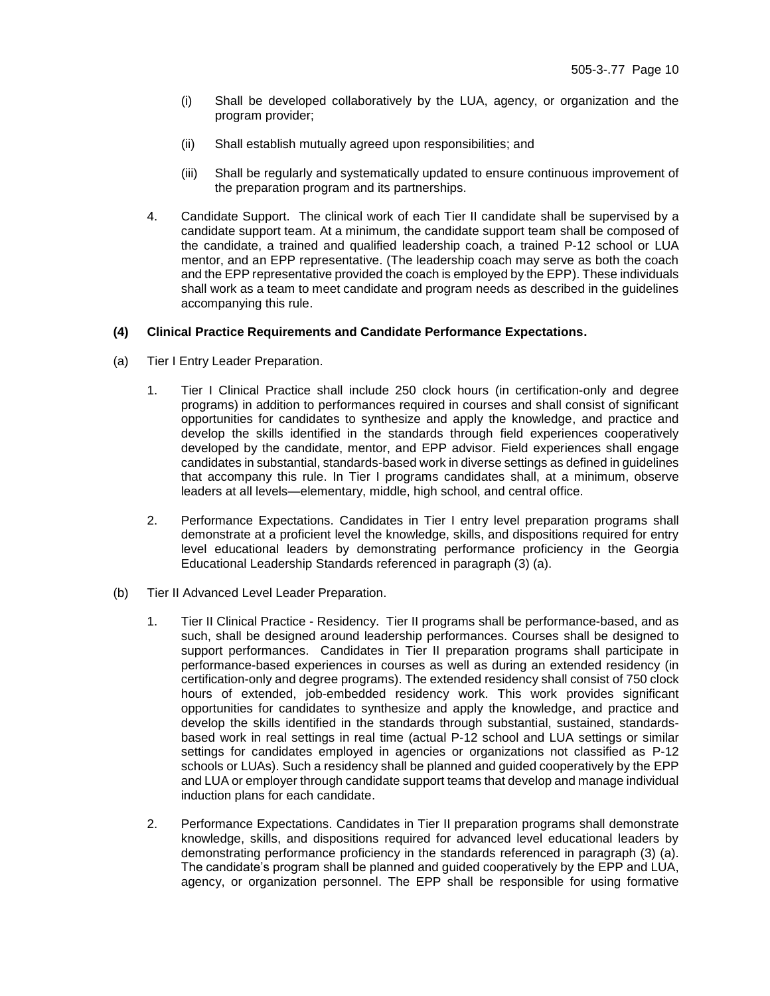- (i) Shall be developed collaboratively by the LUA, agency, or organization and the program provider;
- (ii) Shall establish mutually agreed upon responsibilities; and
- (iii) Shall be regularly and systematically updated to ensure continuous improvement of the preparation program and its partnerships.
- 4. Candidate Support. The clinical work of each Tier II candidate shall be supervised by a candidate support team. At a minimum, the candidate support team shall be composed of the candidate, a trained and qualified leadership coach, a trained P-12 school or LUA mentor, and an EPP representative. (The leadership coach may serve as both the coach and the EPP representative provided the coach is employed by the EPP). These individuals shall work as a team to meet candidate and program needs as described in the guidelines accompanying this rule.

### **(4) Clinical Practice Requirements and Candidate Performance Expectations.**

- (a) Tier I Entry Leader Preparation.
	- 1. Tier I Clinical Practice shall include 250 clock hours (in certification-only and degree programs) in addition to performances required in courses and shall consist of significant opportunities for candidates to synthesize and apply the knowledge, and practice and develop the skills identified in the standards through field experiences cooperatively developed by the candidate, mentor, and EPP advisor. Field experiences shall engage candidates in substantial, standards-based work in diverse settings as defined in guidelines that accompany this rule. In Tier I programs candidates shall, at a minimum, observe leaders at all levels—elementary, middle, high school, and central office.
	- 2. Performance Expectations. Candidates in Tier I entry level preparation programs shall demonstrate at a proficient level the knowledge, skills, and dispositions required for entry level educational leaders by demonstrating performance proficiency in the Georgia Educational Leadership Standards referenced in paragraph (3) (a).
- (b) Tier II Advanced Level Leader Preparation.
	- 1. Tier II Clinical Practice Residency. Tier II programs shall be performance-based, and as such, shall be designed around leadership performances. Courses shall be designed to support performances. Candidates in Tier II preparation programs shall participate in performance-based experiences in courses as well as during an extended residency (in certification-only and degree programs). The extended residency shall consist of 750 clock hours of extended, job-embedded residency work. This work provides significant opportunities for candidates to synthesize and apply the knowledge, and practice and develop the skills identified in the standards through substantial, sustained, standardsbased work in real settings in real time (actual P-12 school and LUA settings or similar settings for candidates employed in agencies or organizations not classified as P-12 schools or LUAs). Such a residency shall be planned and guided cooperatively by the EPP and LUA or employer through candidate support teams that develop and manage individual induction plans for each candidate.
	- 2. Performance Expectations. Candidates in Tier II preparation programs shall demonstrate knowledge, skills, and dispositions required for advanced level educational leaders by demonstrating performance proficiency in the standards referenced in paragraph (3) (a). The candidate's program shall be planned and guided cooperatively by the EPP and LUA, agency, or organization personnel. The EPP shall be responsible for using formative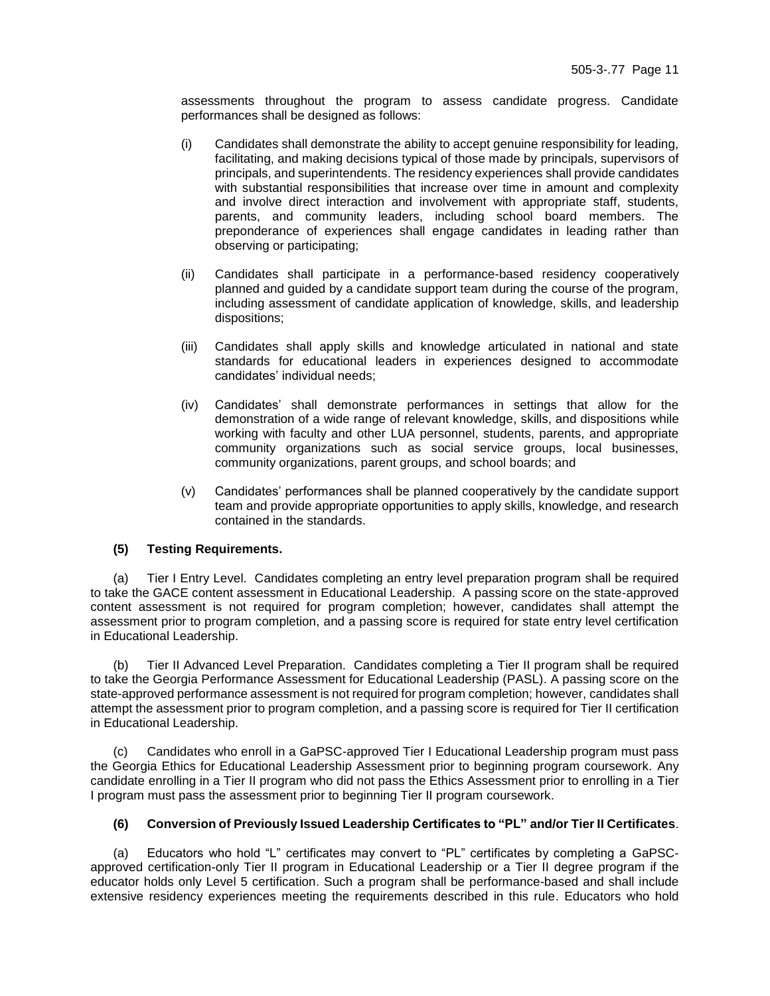assessments throughout the program to assess candidate progress. Candidate performances shall be designed as follows:

- (i) Candidates shall demonstrate the ability to accept genuine responsibility for leading, facilitating, and making decisions typical of those made by principals, supervisors of principals, and superintendents. The residency experiences shall provide candidates with substantial responsibilities that increase over time in amount and complexity and involve direct interaction and involvement with appropriate staff, students, parents, and community leaders, including school board members. The preponderance of experiences shall engage candidates in leading rather than observing or participating;
- (ii) Candidates shall participate in a performance-based residency cooperatively planned and guided by a candidate support team during the course of the program, including assessment of candidate application of knowledge, skills, and leadership dispositions;
- (iii) Candidates shall apply skills and knowledge articulated in national and state standards for educational leaders in experiences designed to accommodate candidates' individual needs;
- (iv) Candidates' shall demonstrate performances in settings that allow for the demonstration of a wide range of relevant knowledge, skills, and dispositions while working with faculty and other LUA personnel, students, parents, and appropriate community organizations such as social service groups, local businesses, community organizations, parent groups, and school boards; and
- (v) Candidates' performances shall be planned cooperatively by the candidate support team and provide appropriate opportunities to apply skills, knowledge, and research contained in the standards.

### **(5) Testing Requirements.**

(a) Tier I Entry Level. Candidates completing an entry level preparation program shall be required to take the GACE content assessment in Educational Leadership. A passing score on the state-approved content assessment is not required for program completion; however, candidates shall attempt the assessment prior to program completion, and a passing score is required for state entry level certification in Educational Leadership.

(b) Tier II Advanced Level Preparation. Candidates completing a Tier II program shall be required to take the Georgia Performance Assessment for Educational Leadership (PASL). A passing score on the state-approved performance assessment is not required for program completion; however, candidates shall attempt the assessment prior to program completion, and a passing score is required for Tier II certification in Educational Leadership.

(c) Candidates who enroll in a GaPSC-approved Tier I Educational Leadership program must pass the Georgia Ethics for Educational Leadership Assessment prior to beginning program coursework. Any candidate enrolling in a Tier II program who did not pass the Ethics Assessment prior to enrolling in a Tier I program must pass the assessment prior to beginning Tier II program coursework.

#### **(6) Conversion of Previously Issued Leadership Certificates to "PL" and/or Tier II Certificates**.

(a) Educators who hold "L" certificates may convert to "PL" certificates by completing a GaPSCapproved certification-only Tier II program in Educational Leadership or a Tier II degree program if the educator holds only Level 5 certification. Such a program shall be performance-based and shall include extensive residency experiences meeting the requirements described in this rule. Educators who hold